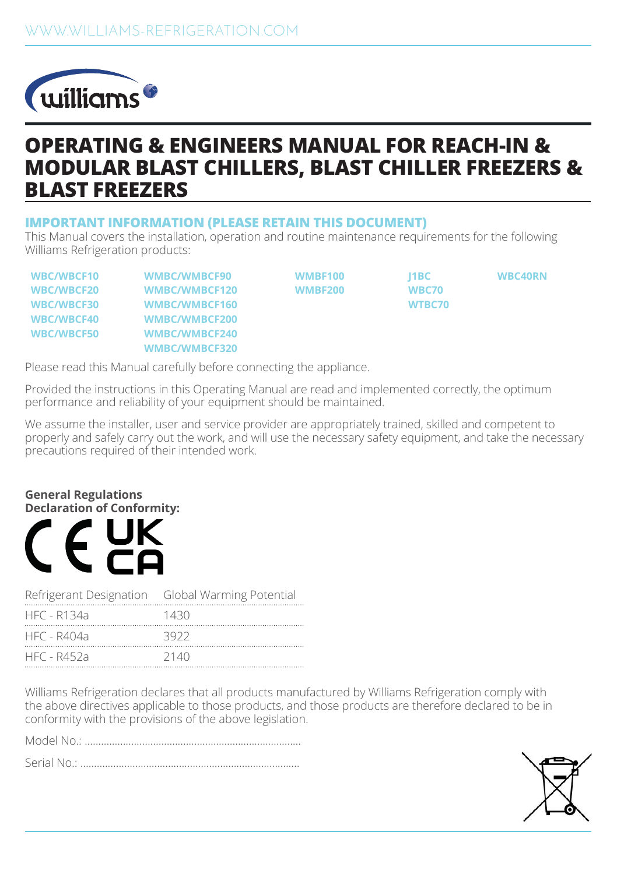

## **OPERATING & ENGINEERS MANUAL FOR REACH-IN & MODULAR BLAST CHILLERS, BLAST CHILLER FREEZERS & BLAST FREEZERS**

### **IMPORTANT INFORMATION (PLEASE RETAIN THIS DOCUMENT)**

This Manual covers the installation, operation and routine maintenance requirements for the following Williams Refrigeration products:

**WBC/WBCF10 WMBC/WMBCF90 WMBF100 J1BC WBC40RN WBC/WBCF20 WMBC/WMBCF120 WMBF200 WBC70 WBC/WBCF30 WMBC/WMBCF160 WTBC70 WBC/WBCF40 WMBC/WMBCF200 WBC/WBCF50 WMBC/WMBCF240 WMBC/WMBCF320**

Please read this Manual carefully before connecting the appliance.

Provided the instructions in this Operating Manual are read and implemented correctly, the optimum performance and reliability of your equipment should be maintained.

We assume the installer, user and service provider are appropriately trained, skilled and competent to properly and safely carry out the work, and will use the necessary safety equipment, and take the necessary precautions required of their intended work.

#### **General Regulations Declaration of Conformity:**



| Refrigerant Designation Global Warming Potential |      |
|--------------------------------------------------|------|
| HFC - R134a                                      | 1430 |
| HFC - R404a                                      | 3922 |
| HFC - R452a                                      | 2140 |

Williams Refrigeration declares that all products manufactured by Williams Refrigeration comply with the above directives applicable to those products, and those products are therefore declared to be in conformity with the provisions of the above legislation.

Model No.: ...............................................................................

Serial No.: ................................................................................

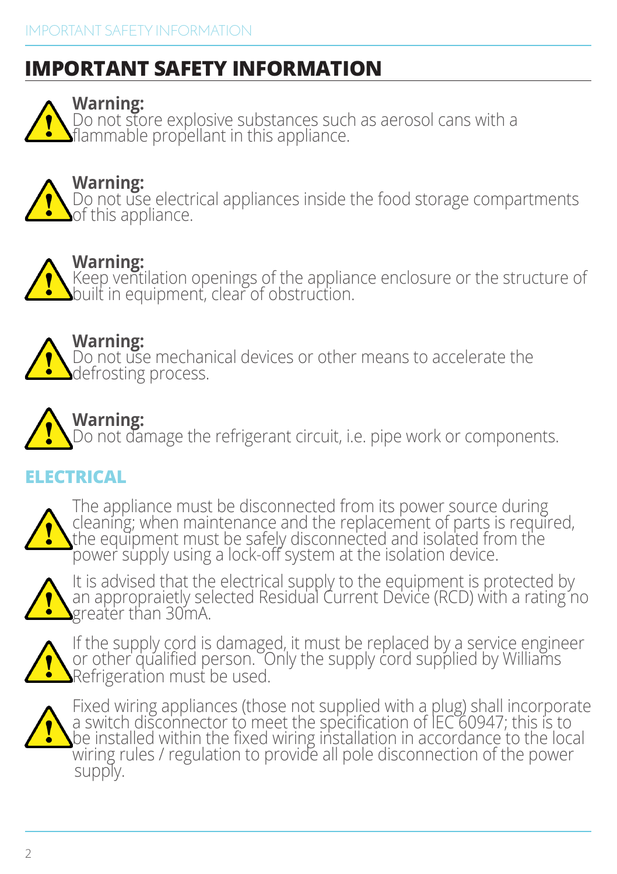# **IMPORTANT SAFETY INFORMATION**

**Warning:**

Do not store explosive substances such as aerosol cans with a flammable propellant in this appliance.

**Warning:** Do not use electrical appliances inside the food storage compartments of this appliance.

## **Warning:**

Keep ventilation openings of the appliance enclosure or the structure of built in equipment, clear of obstruction.

**Warning:** Do not use mechanical devices or other means to accelerate the defrosting process.

# **Warning:**

Do not damage the refrigerant circuit, i.e. pipe work or components.

## **ELECTRICAL**



The appliance must be disconnected from its power source during cleaning; when maintenance and the replacement of parts is required, the equipment must be safely disconnected and isolated from the power supply using a lock-off system at the isolation device.



It is advised that the electrical supply to the equipment is protected by an appropraietly selected Residual Current Device (RCD) with a rating no greater than 30mA.



If the supply cord is damaged, it must be replaced by a service engineer or other qualified person. Only the supply cord supplied by Williams Refrigeration must be used.



Fixed wiring appliances (those not supplied with a plug) shall incorporate a switch disconnector to meet the specification of IEC 60947; this is to be installed within the fixed wiring installation in accordance to the local wiring rules / regulation to provide all pole disconnection of the power<br>supply.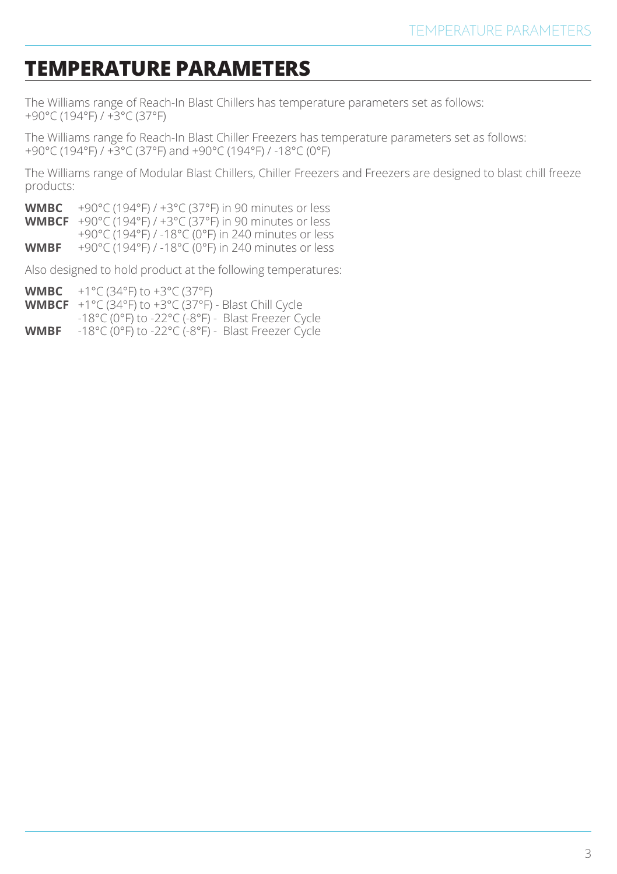## **TEMPERATURE PARAMETERS**

The Williams range of Reach-In Blast Chillers has temperature parameters set as follows: +90°C (194°F) / +3°C (37°F)

The Williams range fo Reach-In Blast Chiller Freezers has temperature parameters set as follows: +90°C (194°F) / +3°C (37°F) and +90°C (194°F) / -18°C (0°F)

The Williams range of Modular Blast Chillers, Chiller Freezers and Freezers are designed to blast chill freeze products:

**WMBC** +90°C (194°F) / +3°C (37°F) in 90 minutes or less

**WMBCF** +90°C (194°F) / +3°C (37°F) in 90 minutes or less

+90°C (194°F) / -18°C (0°F) in 240 minutes or less

**WMBF** +90°C (194°F) / -18°C (0°F) in 240 minutes or less

Also designed to hold product at the following temperatures:

**WMBC** +1°C (34°F) to +3°C (37°F)

**WMBCF** +1°C (34°F) to +3°C (37°F) - Blast Chill Cycle

-18°C (0°F) to -22°C (-8°F) - Blast Freezer Cycle

**WMBF** -18°C (0°F) to -22°C (-8°F) - Blast Freezer Cycle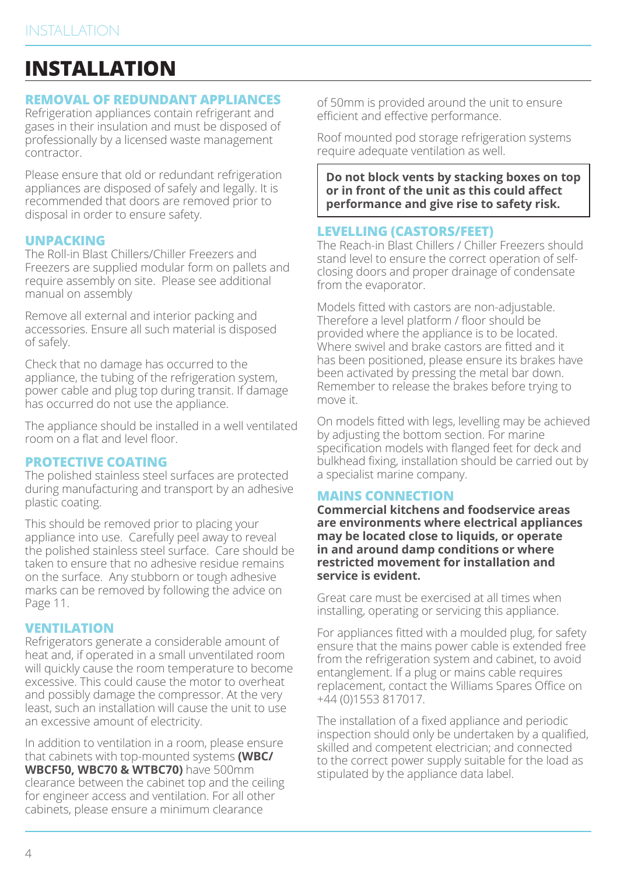## **INSTALLATION**

### **REMOVAL OF REDUNDANT APPLIANCES**

Refrigeration appliances contain refrigerant and gases in their insulation and must be disposed of professionally by a licensed waste management contractor.

Please ensure that old or redundant refrigeration appliances are disposed of safely and legally. It is recommended that doors are removed prior to disposal in order to ensure safety.

#### **UNPACKING**

The Roll-in Blast Chillers/Chiller Freezers and Freezers are supplied modular form on pallets and require assembly on site. Please see additional manual on assembly

Remove all external and interior packing and accessories. Ensure all such material is disposed of safely.

Check that no damage has occurred to the appliance, the tubing of the refrigeration system, power cable and plug top during transit. If damage has occurred do not use the appliance.

The appliance should be installed in a well ventilated room on a flat and level floor.

#### **PROTECTIVE COATING**

The polished stainless steel surfaces are protected during manufacturing and transport by an adhesive plastic coating.

This should be removed prior to placing your appliance into use. Carefully peel away to reveal the polished stainless steel surface. Care should be taken to ensure that no adhesive residue remains on the surface. Any stubborn or tough adhesive marks can be removed by following the advice on Page 11.

#### **VENTILATION**

Refrigerators generate a considerable amount of heat and, if operated in a small unventilated room will quickly cause the room temperature to become excessive. This could cause the motor to overheat and possibly damage the compressor. At the very least, such an installation will cause the unit to use an excessive amount of electricity.

In addition to ventilation in a room, please ensure that cabinets with top-mounted systems **(WBC/ WBCF50, WBC70 & WTBC70)** have 500mm clearance between the cabinet top and the ceiling for engineer access and ventilation. For all other cabinets, please ensure a minimum clearance

of 50mm is provided around the unit to ensure efficient and effective performance.

Roof mounted pod storage refrigeration systems require adequate ventilation as well.

**Do not block vents by stacking boxes on top or in front of the unit as this could affect performance and give rise to safety risk.**

## **LEVELLING (CASTORS/FEET)**

The Reach-in Blast Chillers / Chiller Freezers should stand level to ensure the correct operation of selfclosing doors and proper drainage of condensate from the evaporator.

Models fitted with castors are non-adjustable. Therefore a level platform / floor should be provided where the appliance is to be located. Where swivel and brake castors are fitted and it has been positioned, please ensure its brakes have been activated by pressing the metal bar down. Remember to release the brakes before trying to move it.

On models fitted with legs, levelling may be achieved by adjusting the bottom section. For marine specification models with flanged feet for deck and bulkhead fixing, installation should be carried out by a specialist marine company.

## **MAINS CONNECTION**

**Commercial kitchens and foodservice areas are environments where electrical appliances may be located close to liquids, or operate in and around damp conditions or where restricted movement for installation and service is evident.**

Great care must be exercised at all times when installing, operating or servicing this appliance.

For appliances fitted with a moulded plug, for safety ensure that the mains power cable is extended free from the refrigeration system and cabinet, to avoid entanglement. If a plug or mains cable requires replacement, contact the Williams Spares Office on +44 (0)1553 817017.

The installation of a fixed appliance and periodic inspection should only be undertaken by a qualified, skilled and competent electrician; and connected to the correct power supply suitable for the load as stipulated by the appliance data label.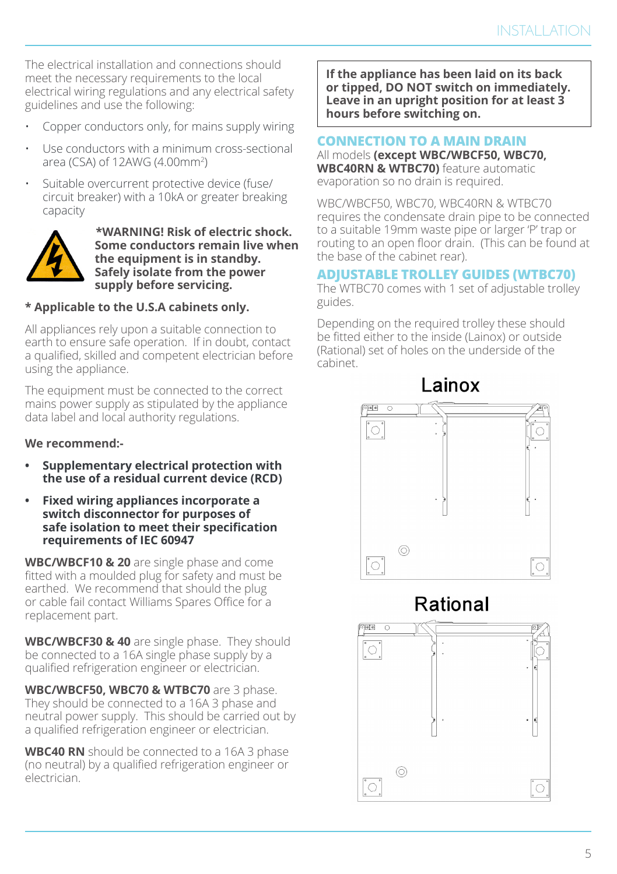The electrical installation and connections should meet the necessary requirements to the local electrical wiring regulations and any electrical safety guidelines and use the following:

- Copper conductors only, for mains supply wiring
- Use conductors with a minimum cross-sectional area (CSA) of 12AWG (4.00mm2 )
- Suitable overcurrent protective device (fuse/ circuit breaker) with a 10kA or greater breaking capacity



 **\*WARNING! Risk of electric shock. Some conductors remain live when the equipment is in standby. Safely isolate from the power supply before servicing.**

#### **\* Applicable to the U.S.A cabinets only.**

All appliances rely upon a suitable connection to earth to ensure safe operation. If in doubt, contact a qualified, skilled and competent electrician before using the appliance.

The equipment must be connected to the correct mains power supply as stipulated by the appliance data label and local authority regulations.

#### **We recommend:-**

- **• Supplementary electrical protection with the use of a residual current device (RCD)**
- **• Fixed wiring appliances incorporate a switch disconnector for purposes of safe isolation to meet their specification requirements of IEC 60947**

**WBC/WBCF10 & 20** are single phase and come fitted with a moulded plug for safety and must be earthed. We recommend that should the plug or cable fail contact Williams Spares Office for a replacement part.

**WBC/WBCF30 & 40** are single phase. They should be connected to a 16A single phase supply by a qualified refrigeration engineer or electrician.

**WBC/WBCF50, WBC70 & WTBC70** are 3 phase. They should be connected to a 16A 3 phase and neutral power supply. This should be carried out by a qualified refrigeration engineer or electrician.

**WBC40 RN** should be connected to a 16A 3 phase (no neutral) by a qualified refrigeration engineer or electrician.

**If the appliance has been laid on its back or tipped, DO NOT switch on immediately. Leave in an upright position for at least 3 hours before switching on.**

### **CONNECTION TO A MAIN DRAIN**

All models **(except WBC/WBCF50, WBC70, WBC40RN & WTBC70)** feature automatic evaporation so no drain is required.

WBC/WBCF50, WBC70, WBC40RN & WTBC70 requires the condensate drain pipe to be connected to a suitable 19mm waste pipe or larger 'P' trap or routing to an open floor drain. (This can be found at the base of the cabinet rear).

#### **ADJUSTABLE TROLLEY GUIDES (WTBC70)**

The WTBC70 comes with 1 set of adjustable trolley guides.

Depending on the required trolley these should be fitted either to the inside (Lainox) or outside (Rational) set of holes on the underside of the cabinet.





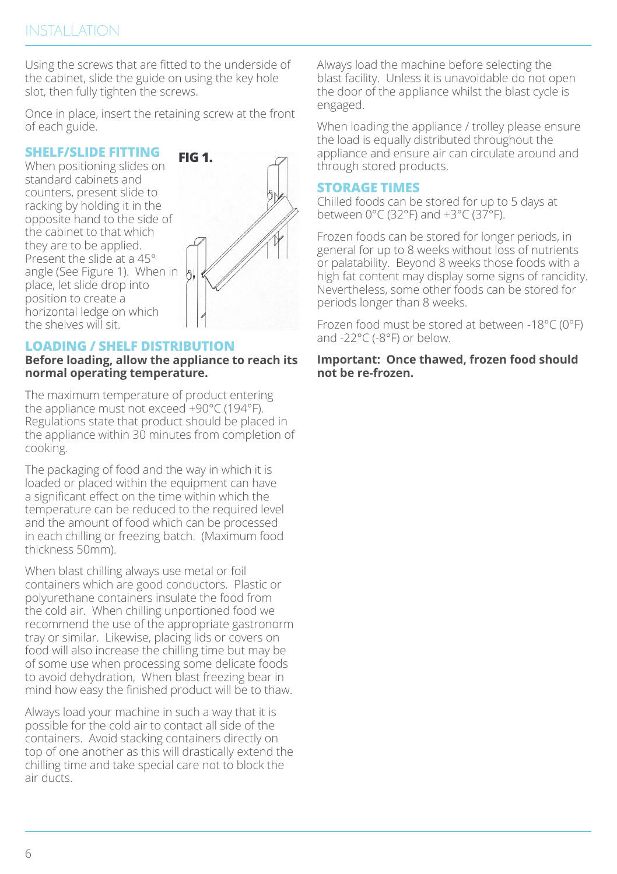Using the screws that are fitted to the underside of the cabinet, slide the guide on using the key hole slot, then fully tighten the screws.

Once in place, insert the retaining screw at the front of each guide.

### **SHELF/SLIDE FITTING**

When positioning slides on standard cabinets and counters, present slide to racking by holding it in the opposite hand to the side of the cabinet to that which they are to be applied. Present the slide at a 45° angle (See Figure 1). When in place, let slide drop into position to create a horizontal ledge on which the shelves will sit.



#### **LOADING / SHELF DISTRIBUTION**

#### **Before loading, allow the appliance to reach its normal operating temperature.**

The maximum temperature of product entering the appliance must not exceed +90°C (194°F). Regulations state that product should be placed in the appliance within 30 minutes from completion of cooking.

The packaging of food and the way in which it is loaded or placed within the equipment can have a significant effect on the time within which the temperature can be reduced to the required level and the amount of food which can be processed in each chilling or freezing batch. (Maximum food thickness 50mm).

When blast chilling always use metal or foil containers which are good conductors. Plastic or polyurethane containers insulate the food from the cold air. When chilling unportioned food we recommend the use of the appropriate gastronorm tray or similar. Likewise, placing lids or covers on food will also increase the chilling time but may be of some use when processing some delicate foods to avoid dehydration, When blast freezing bear in mind how easy the finished product will be to thaw.

Always load your machine in such a way that it is possible for the cold air to contact all side of the containers. Avoid stacking containers directly on top of one another as this will drastically extend the chilling time and take special care not to block the air ducts.

Always load the machine before selecting the blast facility. Unless it is unavoidable do not open the door of the appliance whilst the blast cycle is engaged.

When loading the appliance / trolley please ensure the load is equally distributed throughout the appliance and ensure air can circulate around and through stored products.

## **STORAGE TIMES**

Chilled foods can be stored for up to 5 days at between 0°C (32°F) and +3°C (37°F).

Frozen foods can be stored for longer periods, in general for up to 8 weeks without loss of nutrients or palatability. Beyond 8 weeks those foods with a high fat content may display some signs of rancidity. Nevertheless, some other foods can be stored for periods longer than 8 weeks.

Frozen food must be stored at between -18°C (0°F) and -22°C (-8°F) or below.

**Important: Once thawed, frozen food should not be re-frozen.**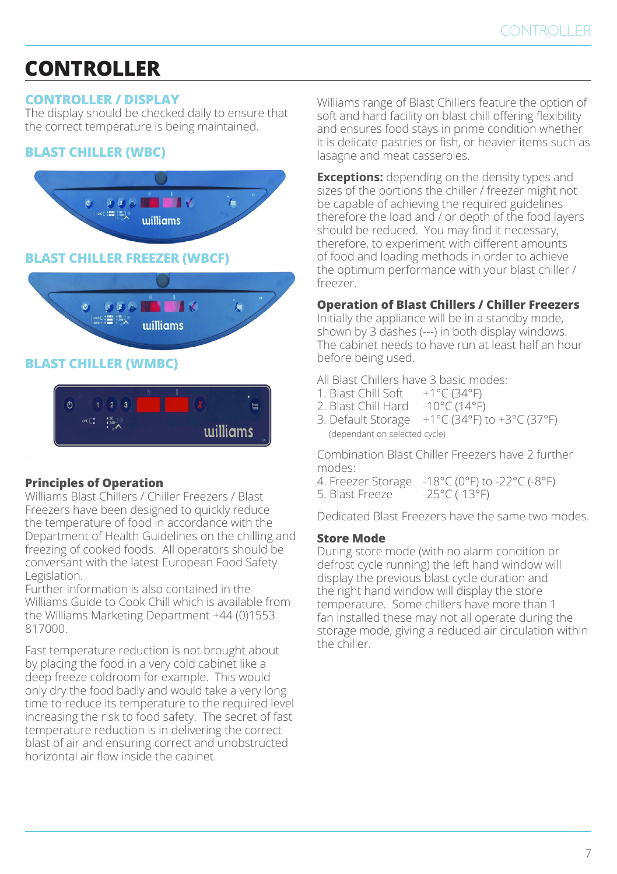# **CONTROLLER**

## **CONTROLLER / DISPLAY**

The display should be checked daily to ensure that the correct temperature is being maintained.

## **BLAST CHILLER (WBC)**



### **Principles of Operation**

Williams Blast Chillers / Chiller Freezers / Blast Freezers have been designed to quickly reduce the temperature of food in accordance with the Department of Health Guidelines on the chilling and freezing of cooked foods. All operators should be conversant with the latest European Food Safety Legislation.

Further information is also contained in the Williams Guide to Cook Chill which is available from the Williams Marketing Department +44 (0)1553 817000.

Fast temperature reduction is not brought about by placing the food in a very cold cabinet like a deep freeze coldroom for example. This would only dry the food badly and would take a very long time to reduce its temperature to the required level increasing the risk to food safety. The secret of fast temperature reduction is in delivering the correct blast of air and ensuring correct and unobstructed horizontal air flow inside the cabinet.

Williams range of Blast Chillers feature the option of soft and hard facility on blast chill offering flexibility and ensures food stays in prime condition whether it is delicate pastries or fish, or heavier items such as lasagne and meat casseroles.

**Exceptions:** depending on the density types and sizes of the portions the chiller / freezer might not be capable of achieving the required guidelines therefore the load and / or depth of the food layers should be reduced. You may find it necessary, therefore, to experiment with different amounts of food and loading methods in order to achieve the optimum performance with your blast chiller / freezer.

### **Operation of Blast Chillers / Chiller Freezers**

Initially the appliance will be in a standby mode, shown by 3 dashes (---) in both display windows. The cabinet needs to have run at least half an hour before being used.

All Blast Chillers have 3 basic modes:<br>1. Blast Chill Soft  $+1^{\circ}C(34^{\circ}F)$ 

- 1. Blast Chill Soft
- 2. Blast Chill Hard -10°C (14°F)
- 3. Default Storage  $+1^{\circ}C(34^{\circ}F)$  to  $+3^{\circ}C(37^{\circ}F)$ (dependant on selected cycle)

Combination Blast Chiller Freezers have 2 further modes:

- 4. Freezer Storage -18°C (0°F) to -22°C (-8°F)
- 5. Blast Freeze

Dedicated Blast Freezers have the same two modes.

#### **Store Mode**

During store mode (with no alarm condition or defrost cycle running) the left hand window will display the previous blast cycle duration and the right hand window will display the store temperature. Some chillers have more than 1 fan installed these may not all operate during the storage mode, giving a reduced air circulation within the chiller.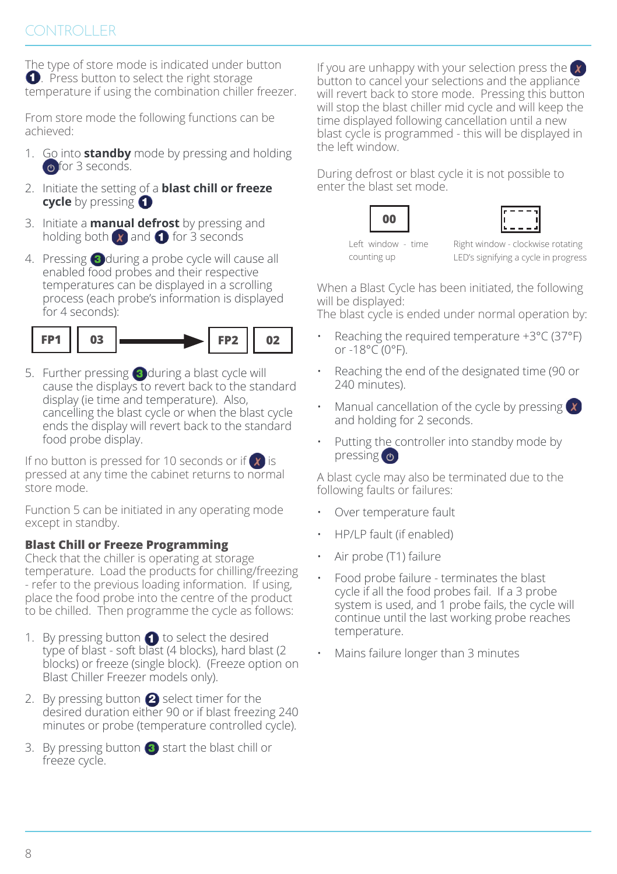The type of store mode is indicated under button **.** Press button to select the right storage temperature if using the combination chiller freezer.

From store mode the following functions can be achieved:

- 1. Go into **standby** mode by pressing and holding **o** for 3 seconds.
- 2. Initiate the setting of a **blast chill or freeze cycle** by pressing **O**
- 3. Initiate a **manual defrost** by pressing and holding both  $\alpha$  and  $\alpha$  for 3 seconds
- 4. Pressing 3 during a probe cycle will cause all enabled food probes and their respective temperatures can be displayed in a scrolling process (each probe's information is displayed for 4 seconds):



5. Further pressing  $\bigcirc$  during a blast cycle will cause the displays to revert back to the standard display (ie time and temperature). Also, cancelling the blast cycle or when the blast cycle ends the display will revert back to the standard food probe display.

If no button is pressed for 10 seconds or if  $\chi$  is pressed at any time the cabinet returns to normal store mode.

Function 5 can be initiated in any operating mode except in standby.

### **Blast Chill or Freeze Programming**

Check that the chiller is operating at storage temperature. Load the products for chilling/freezing - refer to the previous loading information. If using, place the food probe into the centre of the product to be chilled. Then programme the cycle as follows:

- 1. By pressing button  $\bigcirc$  to select the desired type of blast - soft blast (4 blocks), hard blast (2 blocks) or freeze (single block). (Freeze option on Blast Chiller Freezer models only).
- 2. By pressing button  $\bigcirc$  select timer for the desired duration either 90 or if blast freezing 240 minutes or probe (temperature controlled cycle).
- 3. By pressing button  $\bullet$  start the blast chill or freeze cycle.

If you are unhappy with your selection press the  $\alpha$ button to cancel your selections and the appliance will revert back to store mode. Pressing this button will stop the blast chiller mid cycle and will keep the time displayed following cancellation until a new blast cycle is programmed - this will be displayed in the left window.

During defrost or blast cycle it is not possible to enter the blast set mode.

**00** Left window - time counting up

Right window - clockwise rotating LED's signifying a cycle in progress

When a Blast Cycle has been initiated, the following will be displayed:

The blast cycle is ended under normal operation by:

- Reaching the required temperature  $+3^{\circ}$ C (37 $^{\circ}$ F) or -18°C (0°F).
- Reaching the end of the designated time (90 or 240 minutes).
- Manual cancellation of the cycle by pressing  $\chi$ and holding for 2 seconds.
- Putting the controller into standby mode by pressing (b)

A blast cycle may also be terminated due to the following faults or failures:

- Over temperature fault
- HP/LP fault (if enabled)
- Air probe (T1) failure
- Food probe failure terminates the blast cycle if all the food probes fail. If a 3 probe system is used, and 1 probe fails, the cycle will continue until the last working probe reaches temperature.
- Mains failure longer than 3 minutes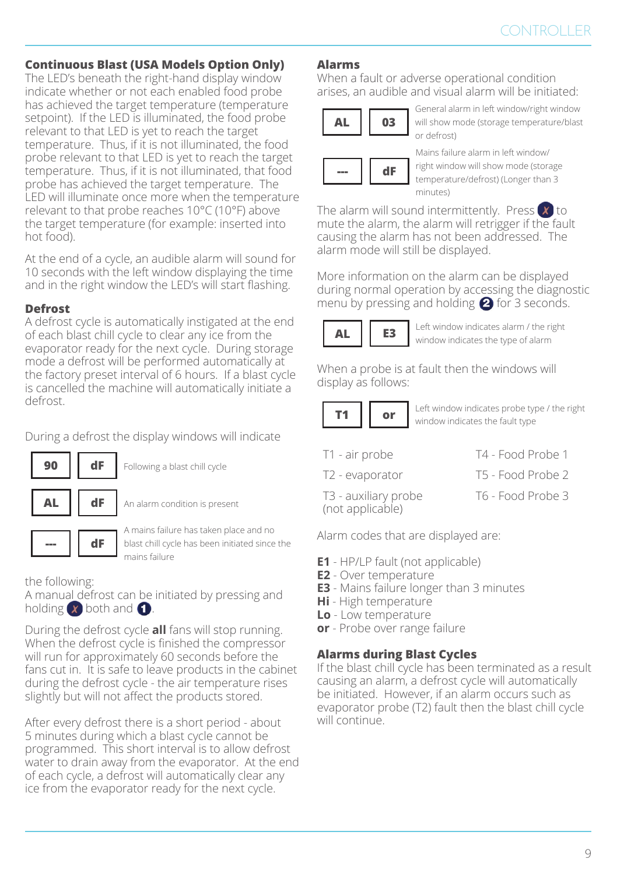#### **Continuous Blast (USA Models Option Only)**

The LED's beneath the right-hand display window indicate whether or not each enabled food probe has achieved the target temperature (temperature setpoint). If the LED is illuminated, the food probe relevant to that LED is yet to reach the target temperature. Thus, if it is not illuminated, the food probe relevant to that LED is yet to reach the target temperature. Thus, if it is not illuminated, that food probe has achieved the target temperature. The LED will illuminate once more when the temperature relevant to that probe reaches 10°C (10°F) above the target temperature (for example: inserted into hot food).

At the end of a cycle, an audible alarm will sound for 10 seconds with the left window displaying the time and in the right window the LED's will start flashing.

#### **Defrost**

A defrost cycle is automatically instigated at the end of each blast chill cycle to clear any ice from the evaporator ready for the next cycle. During storage mode a defrost will be performed automatically at the factory preset interval of 6 hours. If a blast cycle is cancelled the machine will automatically initiate a defrost.

During a defrost the display windows will indicate



**90 dF** Following a blast chill cycle

**AL dF** An alarm condition is present

A mains failure has taken place and no blast chill cycle has been initiated since the mains failure

#### the following:

A manual defrost can be initiated by pressing and holding  $\chi$  both and  $\Omega$ .

During the defrost cycle **all** fans will stop running. When the defrost cycle is finished the compressor will run for approximately 60 seconds before the fans cut in. It is safe to leave products in the cabinet during the defrost cycle - the air temperature rises slightly but will not affect the products stored.

After every defrost there is a short period - about 5 minutes during which a blast cycle cannot be programmed. This short interval is to allow defrost water to drain away from the evaporator. At the end of each cycle, a defrost will automatically clear any ice from the evaporator ready for the next cycle.

#### **Alarms**

When a fault or adverse operational condition arises, an audible and visual alarm will be initiated:

$$
\begin{array}{|c|c|}\n\hline\n\text{AL} & 03 \\
\hline\n\end{array}
$$

General alarm in left window/right window will show mode (storage temperature/blast or defrost)



Mains failure alarm in left window/ right window will show mode (storage temperature/defrost) (Longer than 3 minutes)

The alarm will sound intermittently. Press  $\boxed{\mathbf{x}}$  to mute the alarm, the alarm will retrigger if the fault causing the alarm has not been addressed. The alarm mode will still be displayed.

More information on the alarm can be displayed during normal operation by accessing the diagnostic menu by pressing and holding  $\bigcirc$  for 3 seconds.



**E3** Left window indicates alarm / the right **AL E3** window indicates diamnizing the type of alarm

When a probe is at fault then the windows will display as follows:



**or** Left window indicates probe type / the right **T1 or** window indicates the fault type

- T1 air probe T4 Food Probe 1
	-
- T2 evaporator T5 Food Probe 2
- T3 auxiliary probe (not applicable)
- T6 Food Probe 3

Alarm codes that are displayed are:

- **E1** HP/LP fault (not applicable)
- **E2** Over temperature
- **E3** Mains failure longer than 3 minutes
- **Hi** High temperature
- **Lo** Low temperature
- **or**  Probe over range failure

### **Alarms during Blast Cycles**

If the blast chill cycle has been terminated as a result causing an alarm, a defrost cycle will automatically be initiated. However, if an alarm occurs such as evaporator probe (T2) fault then the blast chill cycle will continue.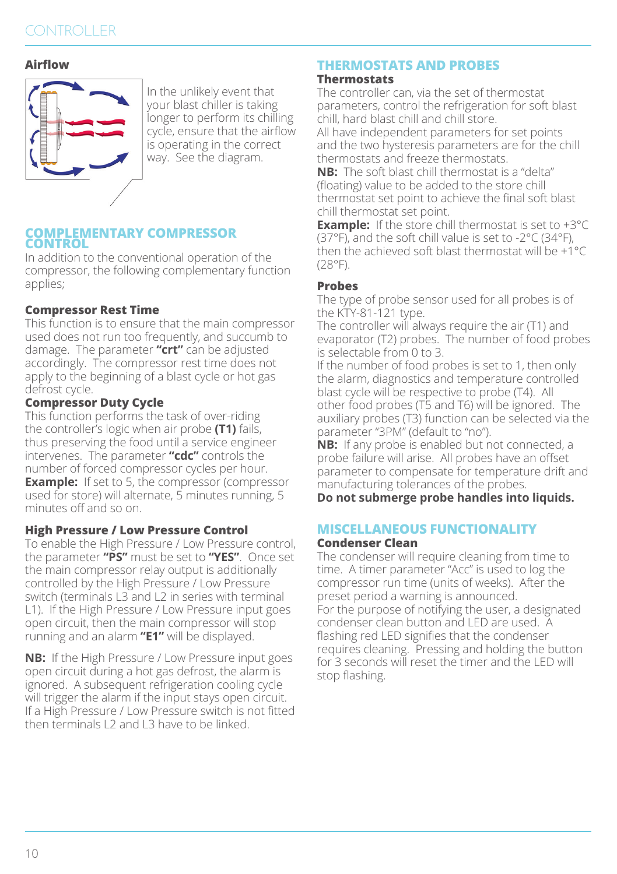## **CONTROLLER**

#### **Airflow**



In the unlikely event that your blast chiller is taking longer to perform its chilling cycle, ensure that the airflow is operating in the correct way. See the diagram.

#### **COMPLEMENTARY COMPRESSOR CONTROL**

In addition to the conventional operation of the compressor, the following complementary function applies;

#### **Compressor Rest Time**

This function is to ensure that the main compressor used does not run too frequently, and succumb to damage. The parameter **"crt"** can be adjusted accordingly. The compressor rest time does not apply to the beginning of a blast cycle or hot gas defrost cycle.

#### **Compressor Duty Cycle**

This function performs the task of over-riding the controller's logic when air probe **(T1)** fails, thus preserving the food until a service engineer intervenes. The parameter **"cdc"** controls the number of forced compressor cycles per hour. **Example:** If set to 5, the compressor (compressor used for store) will alternate, 5 minutes running, 5 minutes off and so on.

#### **High Pressure / Low Pressure Control**

To enable the High Pressure / Low Pressure control, the parameter **"PS"** must be set to **"YES"**. Once set the main compressor relay output is additionally controlled by the High Pressure / Low Pressure switch (terminals L3 and L2 in series with terminal L1). If the High Pressure / Low Pressure input goes open circuit, then the main compressor will stop running and an alarm **"E1"** will be displayed.

**NB:** If the High Pressure / Low Pressure input goes open circuit during a hot gas defrost, the alarm is ignored. A subsequent refrigeration cooling cycle will trigger the alarm if the input stays open circuit. If a High Pressure / Low Pressure switch is not fitted then terminals L2 and L3 have to be linked.

#### **THERMOSTATS AND PROBES Thermostats**

The controller can, via the set of thermostat parameters, control the refrigeration for soft blast chill, hard blast chill and chill store.

All have independent parameters for set points and the two hysteresis parameters are for the chill thermostats and freeze thermostats.

**NB:** The soft blast chill thermostat is a "delta" (floating) value to be added to the store chill thermostat set point to achieve the final soft blast chill thermostat set point.

**Example:** If the store chill thermostat is set to +3°C (37°F), and the soft chill value is set to -2°C (34°F), then the achieved soft blast thermostat will be +1°C (28°F).

#### **Probes**

The type of probe sensor used for all probes is of the KTY-81-121 type.

The controller will always require the air (T1) and evaporator (T2) probes. The number of food probes is selectable from 0 to 3.

If the number of food probes is set to 1, then only the alarm, diagnostics and temperature controlled blast cycle will be respective to probe (T4). All other food probes (T5 and T6) will be ignored. The auxiliary probes (T3) function can be selected via the parameter "3PM" (default to "no").

**NB:** If any probe is enabled but not connected, a probe failure will arise. All probes have an offset parameter to compensate for temperature drift and manufacturing tolerances of the probes.

**Do not submerge probe handles into liquids.**

## **MISCELLANEOUS FUNCTIONALITY**

#### **Condenser Clean**

The condenser will require cleaning from time to time. A timer parameter "Acc" is used to log the compressor run time (units of weeks). After the preset period a warning is announced. For the purpose of notifying the user, a designated condenser clean button and LED are used. A flashing red LED signifies that the condenser requires cleaning. Pressing and holding the button for 3 seconds will reset the timer and the LED will stop flashing.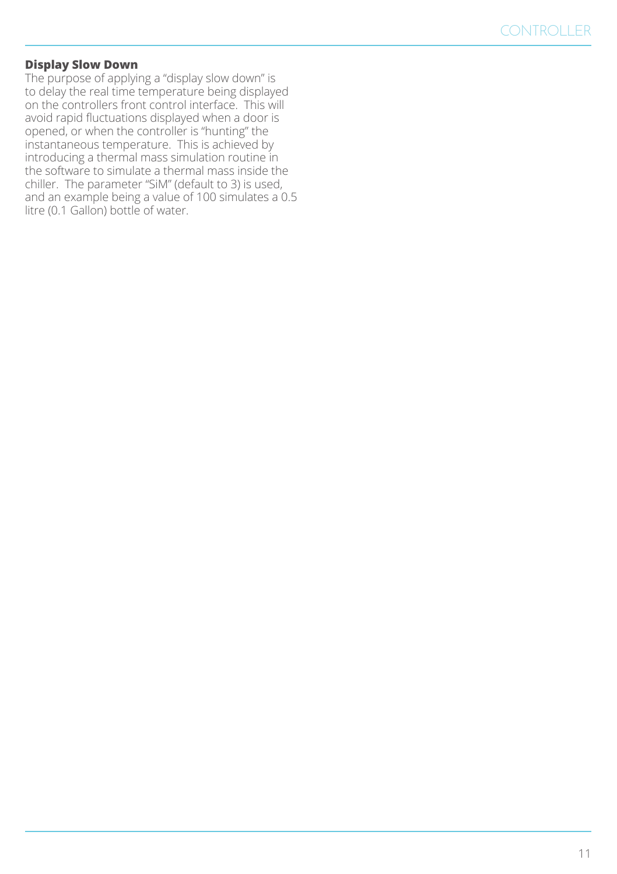#### **Display Slow Down**

The purpose of applying a "display slow down" is to delay the real time temperature being displayed on the controllers front control interface. This will avoid rapid fluctuations displayed when a door is opened, or when the controller is "hunting" the instantaneous temperature. This is achieved by introducing a thermal mass simulation routine in the software to simulate a thermal mass inside the chiller. The parameter "SiM" (default to 3) is used, and an example being a value of 100 simulates a 0.5 litre (0.1 Gallon) bottle of water.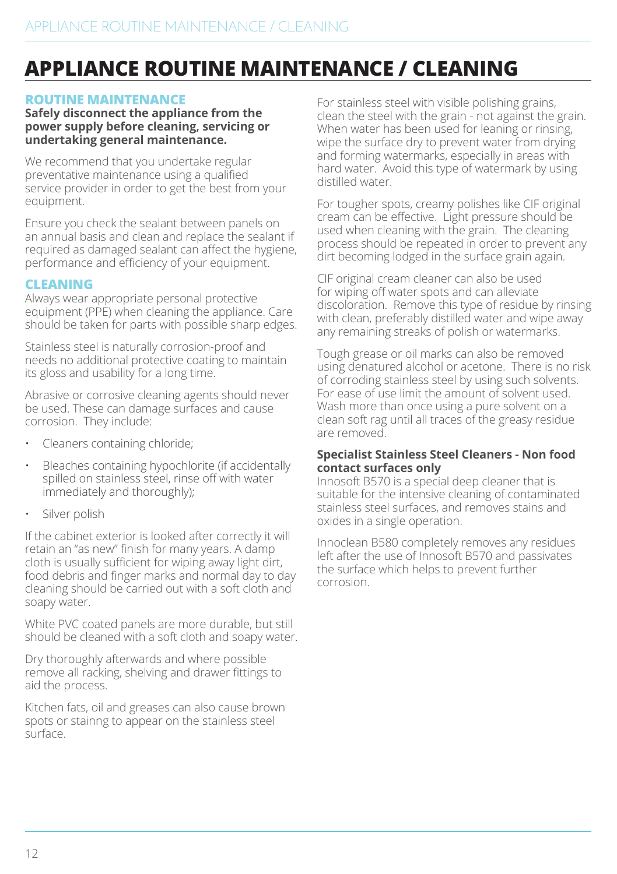## **APPLIANCE ROUTINE MAINTENANCE / CLEANING**

#### **ROUTINE MAINTENANCE**

**Safely disconnect the appliance from the power supply before cleaning, servicing or undertaking general maintenance.**

We recommend that you undertake regular preventative maintenance using a qualified service provider in order to get the best from your equipment.

Ensure you check the sealant between panels on an annual basis and clean and replace the sealant if required as damaged sealant can affect the hygiene, performance and efficiency of your equipment.

### **CLEANING**

Always wear appropriate personal protective equipment (PPE) when cleaning the appliance. Care should be taken for parts with possible sharp edges.

Stainless steel is naturally corrosion-proof and needs no additional protective coating to maintain its gloss and usability for a long time.

Abrasive or corrosive cleaning agents should never be used. These can damage surfaces and cause corrosion. They include:

- Cleaners containing chloride;
- Bleaches containing hypochlorite (if accidentally spilled on stainless steel, rinse off with water immediately and thoroughly);
- Silver polish

If the cabinet exterior is looked after correctly it will retain an "as new" finish for many years. A damp cloth is usually sufficient for wiping away light dirt, food debris and finger marks and normal day to day cleaning should be carried out with a soft cloth and soapy water.

White PVC coated panels are more durable, but still should be cleaned with a soft cloth and soapy water.

Dry thoroughly afterwards and where possible remove all racking, shelving and drawer fittings to aid the process.

Kitchen fats, oil and greases can also cause brown spots or stainng to appear on the stainless steel surface.

For stainless steel with visible polishing grains, clean the steel with the grain - not against the grain. When water has been used for leaning or rinsing, wipe the surface dry to prevent water from drying and forming watermarks, especially in areas with hard water. Avoid this type of watermark by using distilled water.

For tougher spots, creamy polishes like CIF original cream can be effective. Light pressure should be used when cleaning with the grain. The cleaning process should be repeated in order to prevent any dirt becoming lodged in the surface grain again.

CIF original cream cleaner can also be used for wiping off water spots and can alleviate discoloration. Remove this type of residue by rinsing with clean, preferably distilled water and wipe away any remaining streaks of polish or watermarks.

Tough grease or oil marks can also be removed using denatured alcohol or acetone. There is no risk of corroding stainless steel by using such solvents. For ease of use limit the amount of solvent used. Wash more than once using a pure solvent on a clean soft rag until all traces of the greasy residue are removed.

#### **Specialist Stainless Steel Cleaners - Non food contact surfaces only**

Innosoft B570 is a special deep cleaner that is suitable for the intensive cleaning of contaminated stainless steel surfaces, and removes stains and oxides in a single operation.

Innoclean B580 completely removes any residues left after the use of Innosoft B570 and passivates the surface which helps to prevent further corrosion.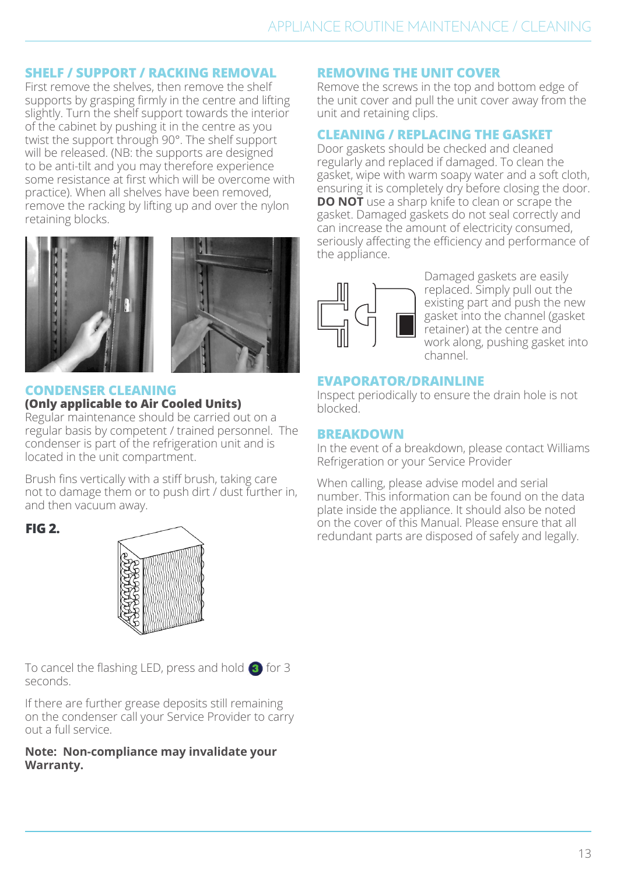### **SHELF / SUPPORT / RACKING REMOVAL**

First remove the shelves, then remove the shelf supports by grasping firmly in the centre and lifting slightly. Turn the shelf support towards the interior of the cabinet by pushing it in the centre as you twist the support through 90°. The shelf support will be released. (NB: the supports are designed to be anti-tilt and you may therefore experience some resistance at first which will be overcome with practice). When all shelves have been removed, remove the racking by lifting up and over the nylon retaining blocks.





#### **CONDENSER CLEANING**

#### **(Only applicable to Air Cooled Units)**

Regular maintenance should be carried out on a regular basis by competent / trained personnel. The condenser is part of the refrigeration unit and is located in the unit compartment.

Brush fins vertically with a stiff brush, taking care not to damage them or to push dirt / dust further in, and then vacuum away.



To cancel the flashing LED, press and hold  $\overline{\textbf{3}}$  for 3 seconds.

If there are further grease deposits still remaining on the condenser call your Service Provider to carry out a full service.

#### **Note: Non-compliance may invalidate your Warranty.**

#### **REMOVING THE UNIT COVER**

Remove the screws in the top and bottom edge of the unit cover and pull the unit cover away from the unit and retaining clips.

#### **CLEANING / REPLACING THE GASKET**

Door gaskets should be checked and cleaned regularly and replaced if damaged. To clean the gasket, wipe with warm soapy water and a soft cloth, ensuring it is completely dry before closing the door. **DO NOT** use a sharp knife to clean or scrape the gasket. Damaged gaskets do not seal correctly and can increase the amount of electricity consumed, seriously affecting the efficiency and performance of the appliance.



Damaged gaskets are easily replaced. Simply pull out the existing part and push the new gasket into the channel (gasket retainer) at the centre and work along, pushing gasket into channel.

#### **EVAPORATOR/DRAINLINE**

Inspect periodically to ensure the drain hole is not blocked.

#### **BREAKDOWN**

In the event of a breakdown, please contact Williams Refrigeration or your Service Provider

When calling, please advise model and serial number. This information can be found on the data plate inside the appliance. It should also be noted on the cover of this Manual. Please ensure that all FIG 2. The cover of this manual. Please ensure that all redundant parts are disposed of safely and legally.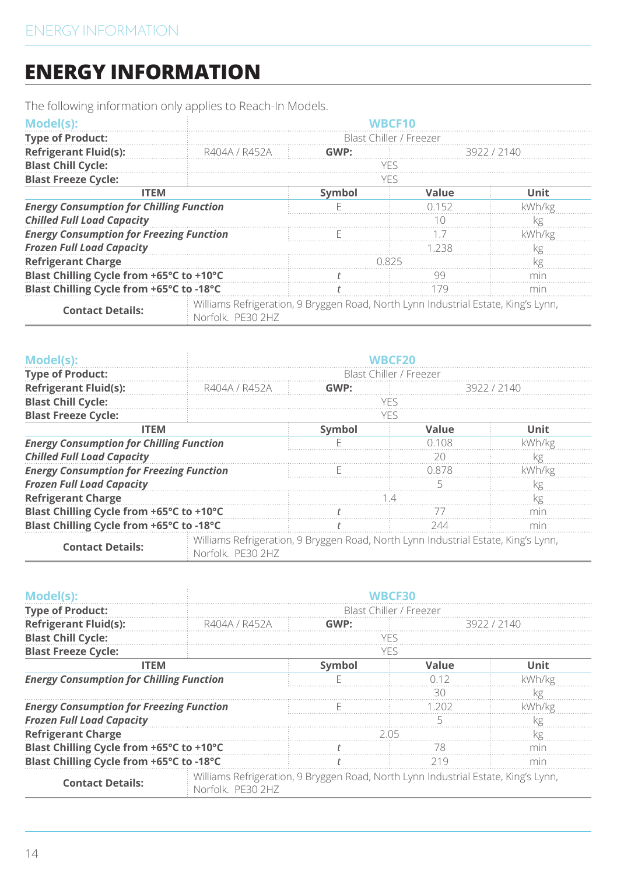## **ENERGY INFORMATION**

The following information only applies to Reach-In Models.

| Model(s):                                       |                                                                                     |                         |       |        |  |
|-------------------------------------------------|-------------------------------------------------------------------------------------|-------------------------|-------|--------|--|
| <b>Type of Product:</b>                         |                                                                                     | Blast Chiller / Freezer |       |        |  |
| <b>Refrigerant Fluid(s):</b>                    | R404A / R452A                                                                       | GWP:<br>3922 7 2140     |       |        |  |
| <b>Blast Chill Cycle:</b>                       |                                                                                     |                         |       |        |  |
| <b>Blast Freeze Cycle:</b>                      |                                                                                     | YFS                     |       |        |  |
| <b>ITEM</b><br>Symbol<br>Value                  |                                                                                     |                         | Unit  |        |  |
| <b>Energy Consumption for Chilling Function</b> |                                                                                     |                         | 7152  | kWh/ko |  |
| <b>Chilled Full Load Capacity</b>               |                                                                                     |                         |       |        |  |
| <b>Energy Consumption for Freezing Function</b> |                                                                                     |                         |       |        |  |
| <b>Frozen Full Load Capacity</b>                |                                                                                     |                         | 1 238 |        |  |
| <b>Refrigerant Charge</b>                       |                                                                                     | 1825                    |       |        |  |
| Blast Chilling Cycle from +65°C to +10°C        |                                                                                     |                         |       |        |  |
| Blast Chilling Cycle from +65°C to -18°C        |                                                                                     |                         |       |        |  |
|                                                 | : Williams Pofrigoration, Q Rovggon Poad, North Lynn Industrial Estato, King's Lynn |                         |       |        |  |

| <b>Contact Details:</b> | : Williams Refrigeration, 9 Bryggen Road, North Lynn Industrial Estate, King's Lynn,<br>Norfolk, PE30 2HZ |
|-------------------------|-----------------------------------------------------------------------------------------------------------|
|-------------------------|-----------------------------------------------------------------------------------------------------------|

| Model(s):                                       |                                                                                                         |                         |         |        |  |  |
|-------------------------------------------------|---------------------------------------------------------------------------------------------------------|-------------------------|---------|--------|--|--|
| <b>Type of Product:</b>                         |                                                                                                         | Blast Chiller / Freezer |         |        |  |  |
| <b>Refrigerant Fluid(s):</b>                    | R404A / R452A                                                                                           | GWP:<br>3922 / 2140     |         |        |  |  |
| <b>Blast Chill Cycle:</b>                       |                                                                                                         |                         |         |        |  |  |
| <b>Blast Freeze Cycle:</b>                      |                                                                                                         | YFS                     |         |        |  |  |
| <b>ITEM</b>                                     | Symbol<br>Value                                                                                         |                         |         | Unit   |  |  |
| <b>Energy Consumption for Chilling Function</b> |                                                                                                         |                         | N 1 N S | kWh/kg |  |  |
| <b>Chilled Full Load Capacity</b>               |                                                                                                         |                         | วก      |        |  |  |
| <b>Energy Consumption for Freezing Function</b> |                                                                                                         |                         | 0.878   | kWh/kø |  |  |
| <b>Frozen Full Load Capacity</b>                |                                                                                                         |                         |         |        |  |  |
| <b>Refrigerant Charge</b>                       |                                                                                                         |                         |         | 7σ     |  |  |
| Blast Chilling Cycle from +65°C to +10°C        |                                                                                                         |                         |         |        |  |  |
| Blast Chilling Cycle from +65°C to -18°C        |                                                                                                         |                         |         | mır    |  |  |
| <b>Contact Details:</b>                         | Williams Refrigeration, 9 Bryggen Road, North Lynn Industrial Estate, King's Lynn,<br>Norfolk. PF30 2HZ |                         |         |        |  |  |

| Model(s):                                       |                                                                                                         | WRCF30                  |       |        |  |  |
|-------------------------------------------------|---------------------------------------------------------------------------------------------------------|-------------------------|-------|--------|--|--|
| <b>Type of Product:</b>                         |                                                                                                         | Blast Chiller / Freezer |       |        |  |  |
| <b>Refrigerant Fluid(s):</b>                    | R404A / R452A                                                                                           | GWP:<br>3922/2140       |       |        |  |  |
| <b>Blast Chill Cycle:</b>                       |                                                                                                         | YFS                     |       |        |  |  |
| <b>Blast Freeze Cycle:</b>                      |                                                                                                         | YFS                     |       |        |  |  |
|                                                 | Symbol<br><b>ITEM</b><br>Value                                                                          |                         |       | Unit   |  |  |
| <b>Energy Consumption for Chilling Function</b> |                                                                                                         |                         | 0.12  | kWh/kg |  |  |
|                                                 |                                                                                                         |                         | RΩ    | kg     |  |  |
| <b>Energy Consumption for Freezing Function</b> |                                                                                                         |                         | L 202 | kWh/kg |  |  |
| <b>Frozen Full Load Capacity</b>                |                                                                                                         |                         |       |        |  |  |
| <b>Refrigerant Charge</b>                       |                                                                                                         |                         |       |        |  |  |
| Blast Chilling Cycle from +65°C to +10°C        |                                                                                                         |                         | - 78  | mır    |  |  |
| Blast Chilling Cycle from +65°C to -18°C        |                                                                                                         |                         | 219   | mır    |  |  |
| <b>Contact Details:</b>                         | Williams Refrigeration, 9 Bryggen Road, North Lynn Industrial Estate, King's Lynn,<br>Norfolk, PF30 2HZ |                         |       |        |  |  |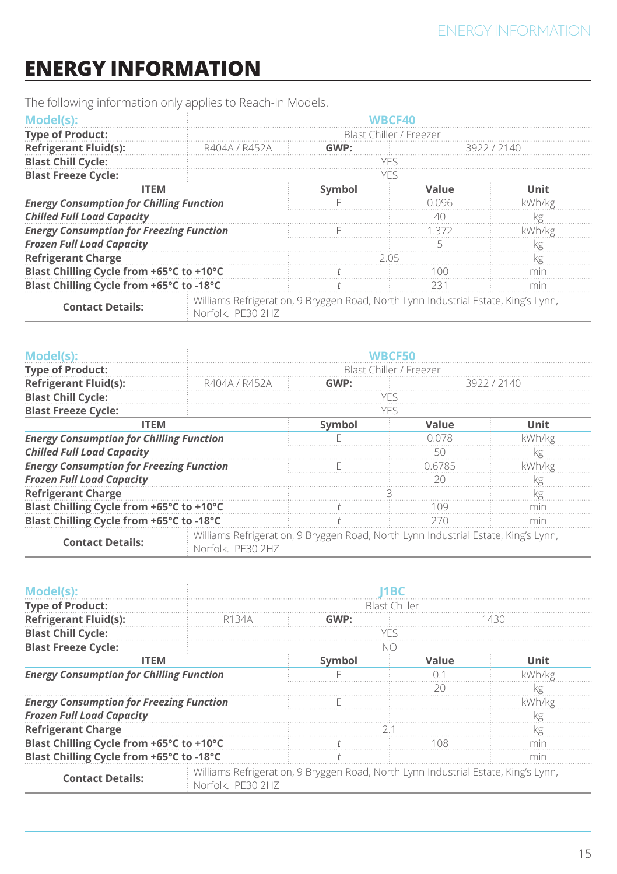# **ENERGY INFORMATION**

The following information only applies to Reach-In Models.

| Model(s):                                                                            |                                                                                                         |     |                         |        |
|--------------------------------------------------------------------------------------|---------------------------------------------------------------------------------------------------------|-----|-------------------------|--------|
| <b>Type of Product:</b>                                                              |                                                                                                         |     | Blast Chiller / Freezer |        |
| <b>Refrigerant Fluid(s):</b>                                                         | GWP:<br>R404A / R452A<br>392272140                                                                      |     |                         |        |
| <b>Blast Chill Cycle:</b>                                                            |                                                                                                         | VFS |                         |        |
| <b>Blast Freeze Cycle:</b>                                                           |                                                                                                         | YFS |                         |        |
| <b>ITEM</b>                                                                          | Symbol<br>Value                                                                                         |     |                         | Unit   |
| <b>Energy Consumption for Chilling Function</b><br><b>Chilled Full Load Capacity</b> |                                                                                                         |     | N N96                   | kWh/kg |
|                                                                                      |                                                                                                         |     |                         |        |
| <b>Energy Consumption for Freezing Function</b>                                      |                                                                                                         |     | -372                    | Wh/kø  |
| <b>Frozen Full Load Capacity</b>                                                     |                                                                                                         |     |                         |        |
| <b>Refrigerant Charge</b>                                                            |                                                                                                         |     |                         |        |
| Blast Chilling Cycle from +65°C to +10°C                                             |                                                                                                         |     |                         |        |
| Blast Chilling Cycle from +65°C to -18°C                                             |                                                                                                         |     |                         | mır    |
| <b>Contact Details:</b>                                                              | Williams Refrigeration, 9 Bryggen Road, North Lynn Industrial Estate, King's Lynn,<br>Norfolk, PF30 2HZ |     |                         |        |

| Model(s):                                       |                                                                                                         |                         |        |        |  |  |
|-------------------------------------------------|---------------------------------------------------------------------------------------------------------|-------------------------|--------|--------|--|--|
| <b>Type of Product:</b>                         |                                                                                                         | Blast Chiller / Freezer |        |        |  |  |
| <b>Refrigerant Fluid(s):</b>                    | R404A / R452A                                                                                           | GWP:<br>3922 / 2140     |        |        |  |  |
| <b>Blast Chill Cycle:</b>                       |                                                                                                         |                         |        |        |  |  |
| <b>Blast Freeze Cycle:</b>                      |                                                                                                         | YFS                     |        |        |  |  |
| <b>ITEM</b>                                     | Symbol<br>Value                                                                                         |                         |        | Unit   |  |  |
| <b>Energy Consumption for Chilling Function</b> |                                                                                                         |                         | በ በ7ጸ  | kWh/kg |  |  |
| <b>Chilled Full Load Capacity</b>               |                                                                                                         |                         | 50     |        |  |  |
| <b>Energy Consumption for Freezing Function</b> |                                                                                                         |                         | 0.6785 | kWh/kg |  |  |
| <b>Frozen Full Load Capacity</b>                |                                                                                                         |                         | חכ     |        |  |  |
| <b>Refrigerant Charge</b>                       |                                                                                                         |                         |        | Kg     |  |  |
| Blast Chilling Cycle from +65°C to +10°C        |                                                                                                         |                         | 1 N 9  | mır    |  |  |
| Blast Chilling Cycle from +65°C to -18°C        |                                                                                                         |                         |        | min    |  |  |
| <b>Contact Details:</b>                         | Williams Refrigeration, 9 Bryggen Road, North Lynn Industrial Estate, King's Lynn,<br>Norfolk, PF30 2HZ |                         |        |        |  |  |

| Model(s)                                        |                                                                                                         |      |               |        |  |
|-------------------------------------------------|---------------------------------------------------------------------------------------------------------|------|---------------|--------|--|
| <b>Type of Product:</b>                         |                                                                                                         |      | Blast Chiller |        |  |
| <b>Refrigerant Fluid(s):</b>                    |                                                                                                         | GWP: |               |        |  |
| <b>Blast Chill Cycle:</b>                       |                                                                                                         | ve s |               |        |  |
| <b>Blast Freeze Cycle:</b>                      |                                                                                                         |      |               |        |  |
| <b>ITEM</b>                                     | Symbol<br>Value                                                                                         |      |               | Unit   |  |
| <b>Energy Consumption for Chilling Function</b> |                                                                                                         |      |               | kWh/kg |  |
|                                                 |                                                                                                         |      |               |        |  |
| <b>Energy Consumption for Freezing Function</b> |                                                                                                         |      |               | kWh/kg |  |
| <b>Frozen Full Load Capacity</b>                |                                                                                                         |      |               |        |  |
| <b>Refrigerant Charge</b>                       |                                                                                                         |      |               | kg     |  |
| Blast Chilling Cycle from +65°C to +10°C        |                                                                                                         |      |               |        |  |
| Blast Chilling Cycle from +65°C to -18°C        |                                                                                                         |      |               | mır    |  |
| <b>Contact Details:</b>                         | Williams Refrigeration, 9 Bryggen Road, North Lynn Industrial Estate, King's Lynn,<br>Norfolk, PF30 2HZ |      |               |        |  |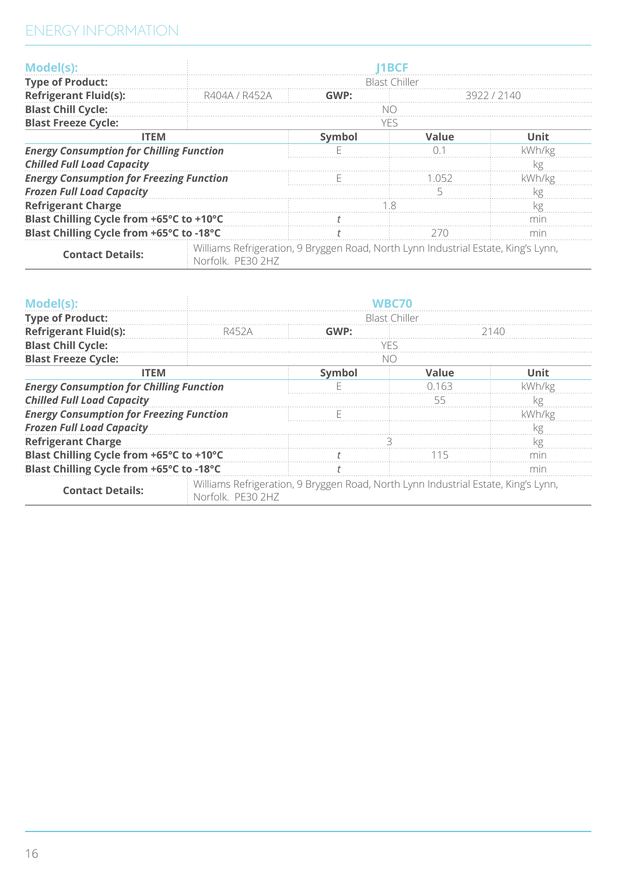| Model(s):                                       |                                                                                                         |        | 1 RCF         |              |
|-------------------------------------------------|---------------------------------------------------------------------------------------------------------|--------|---------------|--------------|
| <b>Type of Product:</b>                         |                                                                                                         |        | Blast Chiller |              |
| <b>Refrigerant Fluid(s):</b>                    | R404A / R452A                                                                                           | GMP    |               | RANNIN VILLE |
| <b>Blast Chill Cycle:</b>                       |                                                                                                         |        |               |              |
| <b>Blast Freeze Cycle:</b>                      |                                                                                                         |        | YFS           |              |
| <b>ITEM</b>                                     |                                                                                                         | Symbol | Value         | Unit         |
| <b>Energy Consumption for Chilling Function</b> |                                                                                                         |        |               | kWh/kg       |
| <b>Chilled Full Load Capacity</b>               |                                                                                                         |        |               | Κg           |
| <b>Energy Consumption for Freezing Function</b> |                                                                                                         |        | (15)          | kWh/kg       |
| <b>Frozen Full Load Capacity</b>                |                                                                                                         |        |               | ćσ           |
| <b>Refrigerant Charge</b>                       |                                                                                                         |        |               | Кg           |
| Blast Chilling Cycle from +65°C to +10°C        |                                                                                                         |        |               | mın          |
| Blast Chilling Cycle from +65°C to -18°C        |                                                                                                         |        | 270           | mir          |
| <b>Contact Details:</b>                         | Williams Refrigeration, 9 Bryggen Road, North Lynn Industrial Estate, King's Lynn,<br>Norfolk, PE30 2H7 |        |               |              |

| Model(s):                                                                            |                                                                                                         |                      |       |        |  |
|--------------------------------------------------------------------------------------|---------------------------------------------------------------------------------------------------------|----------------------|-------|--------|--|
| <b>Type of Product:</b>                                                              |                                                                                                         | <b>Blast Chiller</b> |       |        |  |
| <b>Refrigerant Fluid(s):</b>                                                         | R452A                                                                                                   | GWP:<br>21.40        |       |        |  |
| <b>Blast Chill Cycle:</b>                                                            |                                                                                                         |                      | YFS   |        |  |
| <b>Blast Freeze Cycle:</b>                                                           |                                                                                                         | NC.                  |       |        |  |
| <b>ITEM</b>                                                                          | Symbol<br>Value                                                                                         |                      |       | Unit   |  |
| <b>Energy Consumption for Chilling Function</b><br><b>Chilled Full Load Capacity</b> |                                                                                                         |                      | 0.163 | kWh/kg |  |
|                                                                                      |                                                                                                         |                      | 55    |        |  |
| <b>Energy Consumption for Freezing Function</b>                                      |                                                                                                         |                      |       | kWh/kg |  |
| <b>Frozen Full Load Capacity</b>                                                     |                                                                                                         |                      |       |        |  |
| <b>Refrigerant Charge</b>                                                            |                                                                                                         |                      |       | kg     |  |
| Blast Chilling Cycle from +65°C to +10°C                                             |                                                                                                         |                      | 15    |        |  |
| Blast Chilling Cycle from +65°C to -18°C                                             |                                                                                                         |                      |       | mır    |  |
| <b>Contact Details:</b>                                                              | Williams Refrigeration, 9 Bryggen Road, North Lynn Industrial Estate, King's Lynn,<br>Norfolk, PF30 2HZ |                      |       |        |  |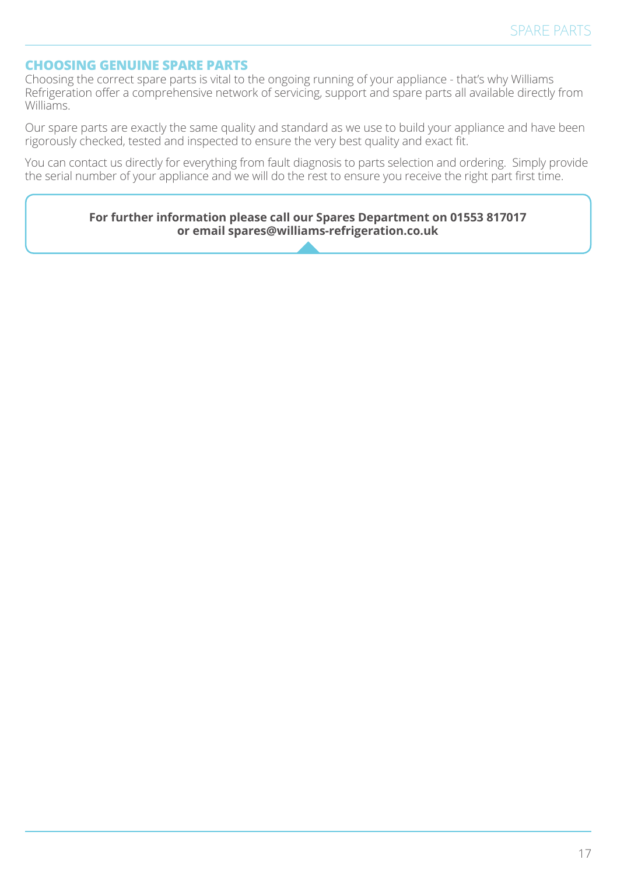### **CHOOSING GENUINE SPARE PARTS**

Choosing the correct spare parts is vital to the ongoing running of your appliance - that's why Williams Refrigeration offer a comprehensive network of servicing, support and spare parts all available directly from Williams.

Our spare parts are exactly the same quality and standard as we use to build your appliance and have been rigorously checked, tested and inspected to ensure the very best quality and exact fit.

You can contact us directly for everything from fault diagnosis to parts selection and ordering. Simply provide the serial number of your appliance and we will do the rest to ensure you receive the right part first time.

> **For further information please call our Spares Department on 01553 817017 or email spares@williams-refrigeration.co.uk**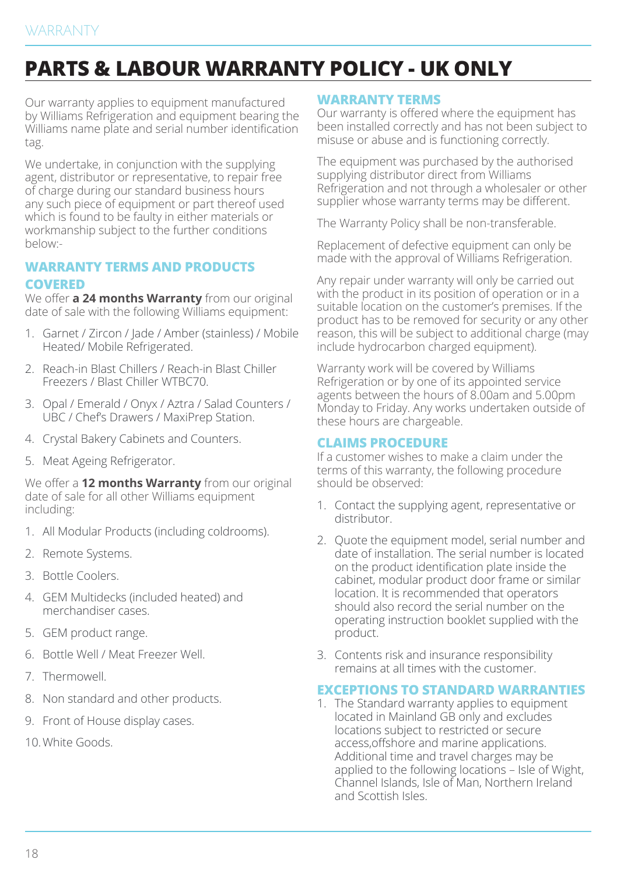# **PARTS & LABOUR WARRANTY POLICY - UK ONLY**

Our warranty applies to equipment manufactured by Williams Refrigeration and equipment bearing the Williams name plate and serial number identification tag.

We undertake, in conjunction with the supplying agent, distributor or representative, to repair free of charge during our standard business hours any such piece of equipment or part thereof used which is found to be faulty in either materials or workmanship subject to the further conditions below:-

## **WARRANTY TERMS AND PRODUCTS COVERED**

We offer **a 24 months Warranty** from our original date of sale with the following Williams equipment:

- 1. Garnet / Zircon / Jade / Amber (stainless) / Mobile Heated/ Mobile Refrigerated.
- 2. Reach-in Blast Chillers / Reach-in Blast Chiller Freezers / Blast Chiller WTBC70.
- 3. Opal / Emerald / Onyx / Aztra / Salad Counters / UBC / Chef's Drawers / MaxiPrep Station.
- 4. Crystal Bakery Cabinets and Counters.
- 5. Meat Ageing Refrigerator.

We offer a **12 months Warranty** from our original date of sale for all other Williams equipment including:

- 1. All Modular Products (including coldrooms).
- 2. Remote Systems.
- 3. Bottle Coolers.
- 4. GEM Multidecks (included heated) and merchandiser cases.
- 5. GEM product range.
- 6. Bottle Well / Meat Freezer Well.
- 7. Thermowell.
- 8. Non standard and other products.
- 9. Front of House display cases.

10.White Goods.

#### **WARRANTY TERMS**

Our warranty is offered where the equipment has been installed correctly and has not been subject to misuse or abuse and is functioning correctly.

The equipment was purchased by the authorised supplying distributor direct from Williams Refrigeration and not through a wholesaler or other supplier whose warranty terms may be different.

The Warranty Policy shall be non-transferable.

Replacement of defective equipment can only be made with the approval of Williams Refrigeration.

Any repair under warranty will only be carried out with the product in its position of operation or in a suitable location on the customer's premises. If the product has to be removed for security or any other reason, this will be subject to additional charge (may include hydrocarbon charged equipment).

Warranty work will be covered by Williams Refrigeration or by one of its appointed service agents between the hours of 8.00am and 5.00pm Monday to Friday. Any works undertaken outside of these hours are chargeable.

#### **CLAIMS PROCEDURE**

If a customer wishes to make a claim under the terms of this warranty, the following procedure should be observed:

- 1. Contact the supplying agent, representative or distributor.
- 2. Quote the equipment model, serial number and date of installation. The serial number is located on the product identification plate inside the cabinet, modular product door frame or similar location. It is recommended that operators should also record the serial number on the operating instruction booklet supplied with the product.
- 3. Contents risk and insurance responsibility remains at all times with the customer.

#### **EXCEPTIONS TO STANDARD WARRANTIES**

1. The Standard warranty applies to equipment located in Mainland GB only and excludes locations subject to restricted or secure access,offshore and marine applications. Additional time and travel charges may be applied to the following locations – Isle of Wight, Channel Islands, Isle of Man, Northern Ireland and Scottish Isles.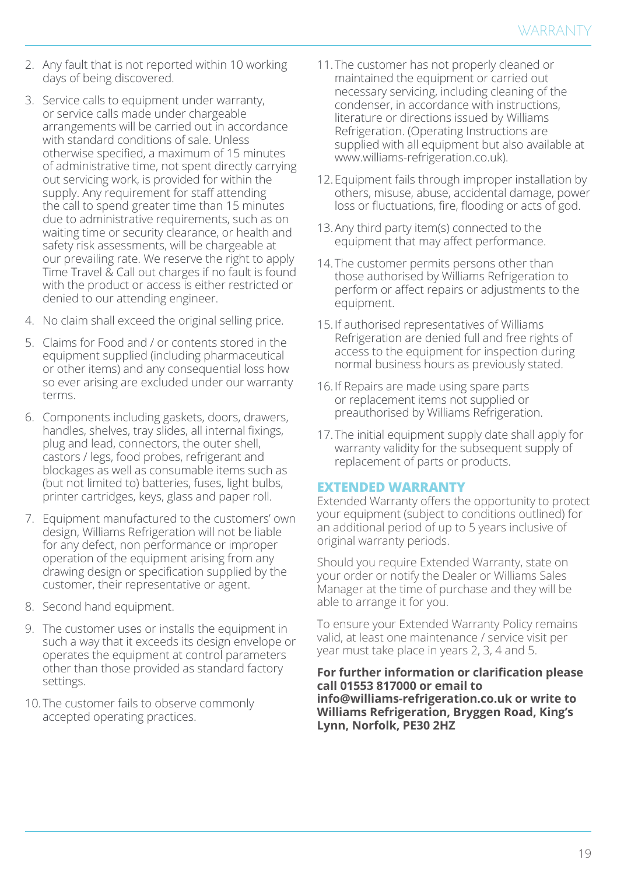- 2. Any fault that is not reported within 10 working days of being discovered.
- 3. Service calls to equipment under warranty, or service calls made under chargeable arrangements will be carried out in accordance with standard conditions of sale. Unless otherwise specified, a maximum of 15 minutes of administrative time, not spent directly carrying out servicing work, is provided for within the supply. Any requirement for staff attending the call to spend greater time than 15 minutes due to administrative requirements, such as on waiting time or security clearance, or health and safety risk assessments, will be chargeable at our prevailing rate. We reserve the right to apply Time Travel & Call out charges if no fault is found with the product or access is either restricted or denied to our attending engineer.
- 4. No claim shall exceed the original selling price.
- 5. Claims for Food and / or contents stored in the equipment supplied (including pharmaceutical or other items) and any consequential loss how so ever arising are excluded under our warranty terms.
- 6. Components including gaskets, doors, drawers, handles, shelves, tray slides, all internal fixings, plug and lead, connectors, the outer shell, castors / legs, food probes, refrigerant and blockages as well as consumable items such as (but not limited to) batteries, fuses, light bulbs, printer cartridges, keys, glass and paper roll.
- 7. Equipment manufactured to the customers' own design, Williams Refrigeration will not be liable for any defect, non performance or improper operation of the equipment arising from any drawing design or specification supplied by the customer, their representative or agent.
- 8. Second hand equipment.
- 9. The customer uses or installs the equipment in such a way that it exceeds its design envelope or operates the equipment at control parameters other than those provided as standard factory settings.
- 10.The customer fails to observe commonly accepted operating practices.
- 11.The customer has not properly cleaned or maintained the equipment or carried out necessary servicing, including cleaning of the condenser, in accordance with instructions, literature or directions issued by Williams Refrigeration. (Operating Instructions are supplied with all equipment but also available at www.williams-refrigeration.co.uk).
- 12.Equipment fails through improper installation by others, misuse, abuse, accidental damage, power loss or fluctuations, fire, flooding or acts of god.
- 13.Any third party item(s) connected to the equipment that may affect performance.
- 14.The customer permits persons other than those authorised by Williams Refrigeration to perform or affect repairs or adjustments to the equipment.
- 15. If authorised representatives of Williams Refrigeration are denied full and free rights of access to the equipment for inspection during normal business hours as previously stated.
- 16. If Repairs are made using spare parts or replacement items not supplied or preauthorised by Williams Refrigeration.
- 17.The initial equipment supply date shall apply for warranty validity for the subsequent supply of replacement of parts or products.

#### **EXTENDED WARRANTY**

Extended Warranty offers the opportunity to protect your equipment (subject to conditions outlined) for an additional period of up to 5 years inclusive of original warranty periods.

Should you require Extended Warranty, state on your order or notify the Dealer or Williams Sales Manager at the time of purchase and they will be able to arrange it for you.

To ensure your Extended Warranty Policy remains valid, at least one maintenance / service visit per year must take place in years 2, 3, 4 and 5.

**For further information or clarification please call 01553 817000 or email to info@williams-refrigeration.co.uk or write to Williams Refrigeration, Bryggen Road, King's Lynn, Norfolk, PE30 2HZ**